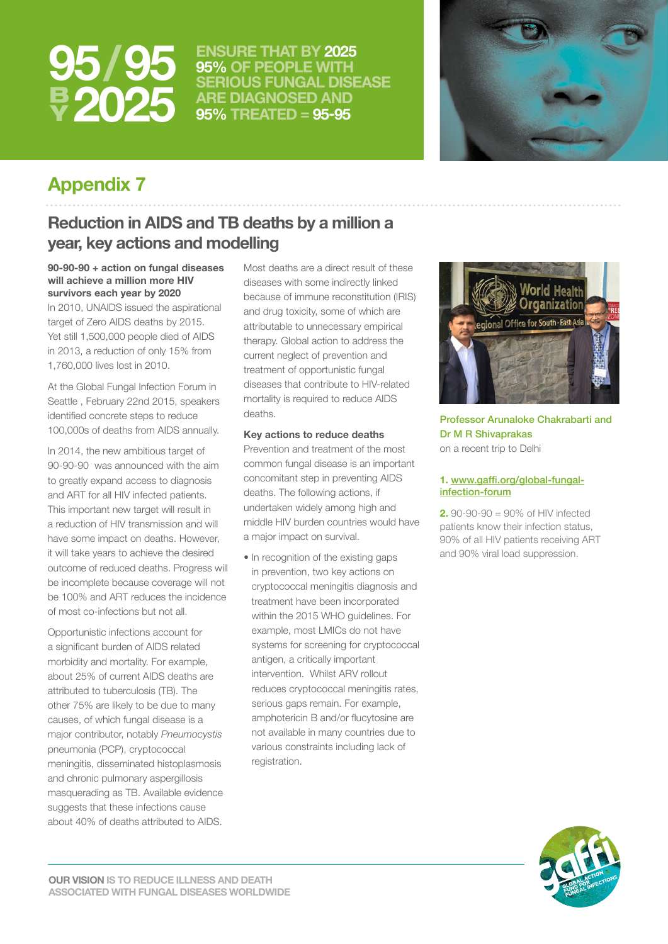

**/ ENSURE THAT BY 2025 95% OF PEOPLE WITH SERIOUS FUNGAL DISEASE ARE DIAGNOSED AND 95% TREATED = 95-95**



# **Appendix 7**

### **Reduction in AIDS and TB deaths by a million a year, key actions and modelling**

**90-90-90 + action on fungal diseases will achieve a million more HIV survivors each year by 2020**

In 2010, UNAIDS issued the aspirational target of Zero AIDS deaths by 2015. Yet still 1,500,000 people died of AIDS in 2013, a reduction of only 15% from 1,760,000 lives lost in 2010.

At the Global Fungal Infection Forum in Seattle , February 22nd 2015, speakers identified concrete steps to reduce 100,000s of deaths from AIDS annually.

In 2014, the new ambitious target of 90-90-90 was announced with the aim to greatly expand access to diagnosis and ART for all HIV infected patients. This important new target will result in a reduction of HIV transmission and will have some impact on deaths. However, it will take years to achieve the desired outcome of reduced deaths. Progress will be incomplete because coverage will not be 100% and ART reduces the incidence of most co-infections but not all.

Opportunistic infections account for a significant burden of AIDS related morbidity and mortality. For example, about 25% of current AIDS deaths are attributed to tuberculosis (TB). The other 75% are likely to be due to many causes, of which fungal disease is a major contributor, notably *Pneumocystis* pneumonia (PCP), cryptococcal meningitis, disseminated histoplasmosis and chronic pulmonary aspergillosis masquerading as TB. Available evidence suggests that these infections cause about 40% of deaths attributed to AIDS.

Most deaths are a direct result of these diseases with some indirectly linked because of immune reconstitution (IRIS) and drug toxicity, some of which are attributable to unnecessary empirical therapy. Global action to address the current neglect of prevention and treatment of opportunistic fungal diseases that contribute to HIV-related mortality is required to reduce AIDS deaths.

### **Key actions to reduce deaths**

Prevention and treatment of the most common fungal disease is an important concomitant step in preventing AIDS deaths. The following actions, if undertaken widely among high and middle HIV burden countries would have a major impact on survival.

• In recognition of the existing gaps in prevention, two key actions on cryptococcal meningitis diagnosis and treatment have been incorporated within the 2015 WHO guidelines. For example, most LMICs do not have systems for screening for cryptococcal antigen, a critically important intervention. Whilst ARV rollout reduces cryptococcal meningitis rates, serious gaps remain. For example, amphotericin B and/or flucytosine are not available in many countries due to various constraints including lack of registration.



Professor Arunaloke Chakrabarti and Dr M R Shivaprakas on a recent trip to Delhi

### **1.** [www.gaffi.org/global-fungal](http://www.gaffi.org/global-fungal-infection-forum
)[infection-forum](http://www.gaffi.org/global-fungal-infection-forum
)

**2.** 90-90-90 = 90% of HIV infected patients know their infection status, 90% of all HIV patients receiving ART and 90% viral load suppression.

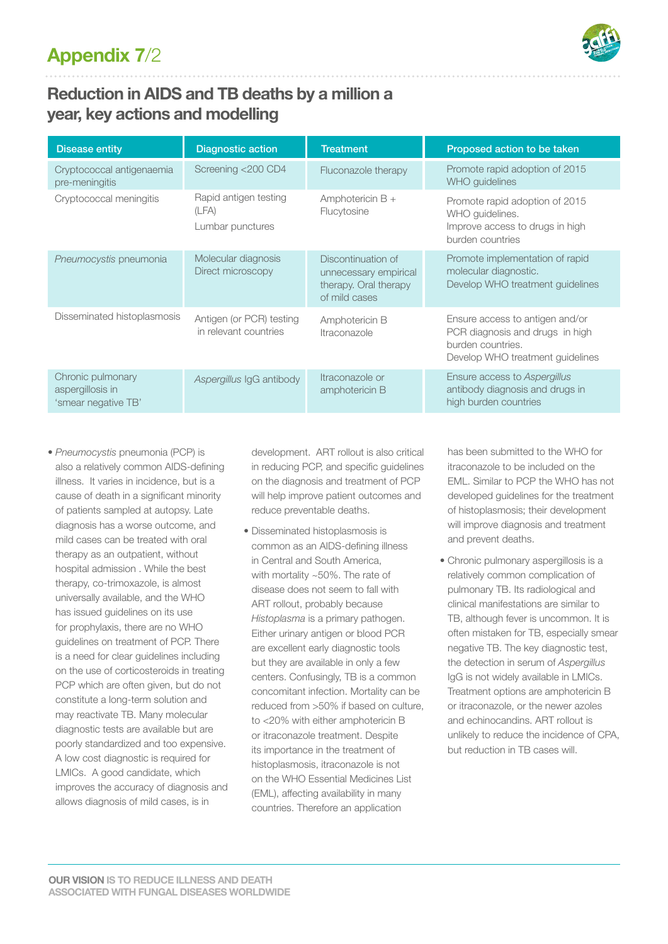

# **Reduction in AIDS and TB deaths by a million a year, key actions and modelling**

| <b>Disease entity</b>                                        | <b>Diagnostic action</b>                           | <b>Treatment</b>                                                                      | Proposed action to be taken                                                                                                 |
|--------------------------------------------------------------|----------------------------------------------------|---------------------------------------------------------------------------------------|-----------------------------------------------------------------------------------------------------------------------------|
| Cryptococcal antigenaemia<br>pre-meningitis                  | Screening <200 CD4                                 | Fluconazole therapy                                                                   | Promote rapid adoption of 2015<br>WHO guidelines                                                                            |
| Cryptococcal meningitis                                      | Rapid antigen testing<br>(LFA)<br>Lumbar punctures | Amphotericin $B +$<br>Flucytosine                                                     | Promote rapid adoption of 2015<br>WHO guidelines.<br>Improve access to drugs in high<br>burden countries                    |
| Pneumocystis pneumonia                                       | Molecular diagnosis<br>Direct microscopy           | Discontinuation of<br>unnecessary empirical<br>therapy. Oral therapy<br>of mild cases | Promote implementation of rapid<br>molecular diagnostic.<br>Develop WHO treatment guidelines                                |
| Disseminated histoplasmosis                                  | Antigen (or PCR) testing<br>in relevant countries  | Amphotericin B<br>Itraconazole                                                        | Ensure access to antigen and/or<br>PCR diagnosis and drugs in high<br>burden countries.<br>Develop WHO treatment guidelines |
| Chronic pulmonary<br>aspergillosis in<br>'smear negative TB' | Aspergillus IgG antibody                           | Itraconazole or<br>amphotericin B                                                     | Ensure access to Aspergillus<br>antibody diagnosis and drugs in<br>high burden countries                                    |

• *Pneumocystis* pneumonia (PCP) is also a relatively common AIDS-defining illness. It varies in incidence, but is a cause of death in a significant minority of patients sampled at autopsy. Late diagnosis has a worse outcome, and mild cases can be treated with oral therapy as an outpatient, without hospital admission . While the best therapy, co-trimoxazole, is almost universally available, and the WHO has issued guidelines on its use for prophylaxis, there are no WHO guidelines on treatment of PCP. There is a need for clear guidelines including on the use of corticosteroids in treating PCP which are often given, but do not constitute a long-term solution and may reactivate TB. Many molecular diagnostic tests are available but are poorly standardized and too expensive. A low cost diagnostic is required for LMICs. A good candidate, which improves the accuracy of diagnosis and allows diagnosis of mild cases, is in

development. ART rollout is also critical in reducing PCP, and specific guidelines on the diagnosis and treatment of PCP will help improve patient outcomes and reduce preventable deaths.

• Disseminated histoplasmosis is common as an AIDS-defining illness in Central and South America, with mortality ~50%. The rate of disease does not seem to fall with ART rollout, probably because *Histoplasma* is a primary pathogen. Either urinary antigen or blood PCR are excellent early diagnostic tools but they are available in only a few centers. Confusingly, TB is a common concomitant infection. Mortality can be reduced from >50% if based on culture, to <20% with either amphotericin B or itraconazole treatment. Despite its importance in the treatment of histoplasmosis, itraconazole is not on the WHO Essential Medicines List (EML), affecting availability in many countries. Therefore an application

has been submitted to the WHO for itraconazole to be included on the EML. Similar to PCP the WHO has not developed guidelines for the treatment of histoplasmosis; their development will improve diagnosis and treatment and prevent deaths.

• Chronic pulmonary aspergillosis is a relatively common complication of pulmonary TB. Its radiological and clinical manifestations are similar to TB, although fever is uncommon. It is often mistaken for TB, especially smear negative TB. The key diagnostic test, the detection in serum of *Aspergillus* IgG is not widely available in LMICs. Treatment options are amphotericin B or itraconazole, or the newer azoles and echinocandins. ART rollout is unlikely to reduce the incidence of CPA, but reduction in TB cases will.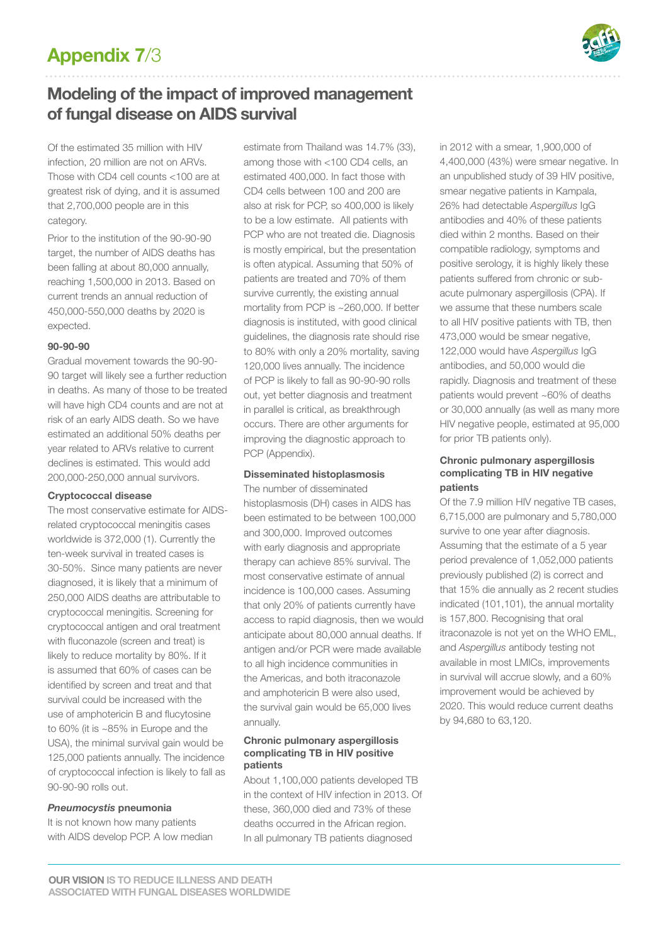

# **Appendix 7**/3

# **Modeling of the impact of improved management of fungal disease on AIDS survival**

Of the estimated 35 million with HIV infection, 20 million are not on ARVs. Those with CD4 cell counts <100 are at greatest risk of dying, and it is assumed that 2,700,000 people are in this category.

Prior to the institution of the 90-90-90 target, the number of AIDS deaths has been falling at about 80,000 annually, reaching 1,500,000 in 2013. Based on current trends an annual reduction of 450,000-550,000 deaths by 2020 is expected.

### **90-90-90**

Gradual movement towards the 90-90- 90 target will likely see a further reduction in deaths. As many of those to be treated will have high CD4 counts and are not at risk of an early AIDS death. So we have estimated an additional 50% deaths per year related to ARVs relative to current declines is estimated. This would add 200,000-250,000 annual survivors.

### **Cryptococcal disease**

The most conservative estimate for AIDSrelated cryptococcal meningitis cases worldwide is 372,000 (1). Currently the ten-week survival in treated cases is 30-50%. Since many patients are never diagnosed, it is likely that a minimum of 250,000 AIDS deaths are attributable to cryptococcal meningitis. Screening for cryptococcal antigen and oral treatment with fluconazole (screen and treat) is likely to reduce mortality by 80%. If it is assumed that 60% of cases can be identified by screen and treat and that survival could be increased with the use of amphotericin B and flucytosine to 60% (it is ~85% in Europe and the USA), the minimal survival gain would be 125,000 patients annually. The incidence of cryptococcal infection is likely to fall as 90-90-90 rolls out.

### *Pneumocystis* **pneumonia**

It is not known how many patients with AIDS develop PCP. A low median

estimate from Thailand was 14.7% (33), among those with <100 CD4 cells, an estimated 400,000. In fact those with CD4 cells between 100 and 200 are also at risk for PCP, so 400,000 is likely to be a low estimate. All patients with PCP who are not treated die. Diagnosis is mostly empirical, but the presentation is often atypical. Assuming that 50% of patients are treated and 70% of them survive currently, the existing annual mortality from PCP is ~260,000. If better diagnosis is instituted, with good clinical guidelines, the diagnosis rate should rise to 80% with only a 20% mortality, saving 120,000 lives annually. The incidence of PCP is likely to fall as 90-90-90 rolls out, yet better diagnosis and treatment in parallel is critical, as breakthrough occurs. There are other arguments for improving the diagnostic approach to PCP (Appendix).

### **Disseminated histoplasmosis**

The number of disseminated histoplasmosis (DH) cases in AIDS has been estimated to be between 100,000 and 300,000. Improved outcomes with early diagnosis and appropriate therapy can achieve 85% survival. The most conservative estimate of annual incidence is 100,000 cases. Assuming that only 20% of patients currently have access to rapid diagnosis, then we would anticipate about 80,000 annual deaths. If antigen and/or PCR were made available to all high incidence communities in the Americas, and both itraconazole and amphotericin B were also used, the survival gain would be 65,000 lives annually.

#### **Chronic pulmonary aspergillosis complicating TB in HIV positive patients**

About 1,100,000 patients developed TB in the context of HIV infection in 2013. Of these, 360,000 died and 73% of these deaths occurred in the African region. In all pulmonary TB patients diagnosed

in 2012 with a smear, 1,900,000 of 4,400,000 (43%) were smear negative. In an unpublished study of 39 HIV positive, smear negative patients in Kampala, 26% had detectable *Aspergillus* IgG antibodies and 40% of these patients died within 2 months. Based on their compatible radiology, symptoms and positive serology, it is highly likely these patients suffered from chronic or subacute pulmonary aspergillosis (CPA). If we assume that these numbers scale to all HIV positive patients with TB, then 473,000 would be smear negative, 122,000 would have *Aspergillus* IgG antibodies, and 50,000 would die rapidly. Diagnosis and treatment of these patients would prevent ~60% of deaths or 30,000 annually (as well as many more HIV negative people, estimated at 95,000 for prior TB patients only).

### **Chronic pulmonary aspergillosis complicating TB in HIV negative patients**

Of the 7.9 million HIV negative TB cases, 6,715,000 are pulmonary and 5,780,000 survive to one year after diagnosis. Assuming that the estimate of a 5 year period prevalence of 1,052,000 patients previously published (2) is correct and that 15% die annually as 2 recent studies indicated (101,101), the annual mortality is 157,800. Recognising that oral itraconazole is not yet on the WHO EML, and *Aspergillus* antibody testing not available in most LMICs, improvements in survival will accrue slowly, and a 60% improvement would be achieved by 2020. This would reduce current deaths by 94,680 to 63,120.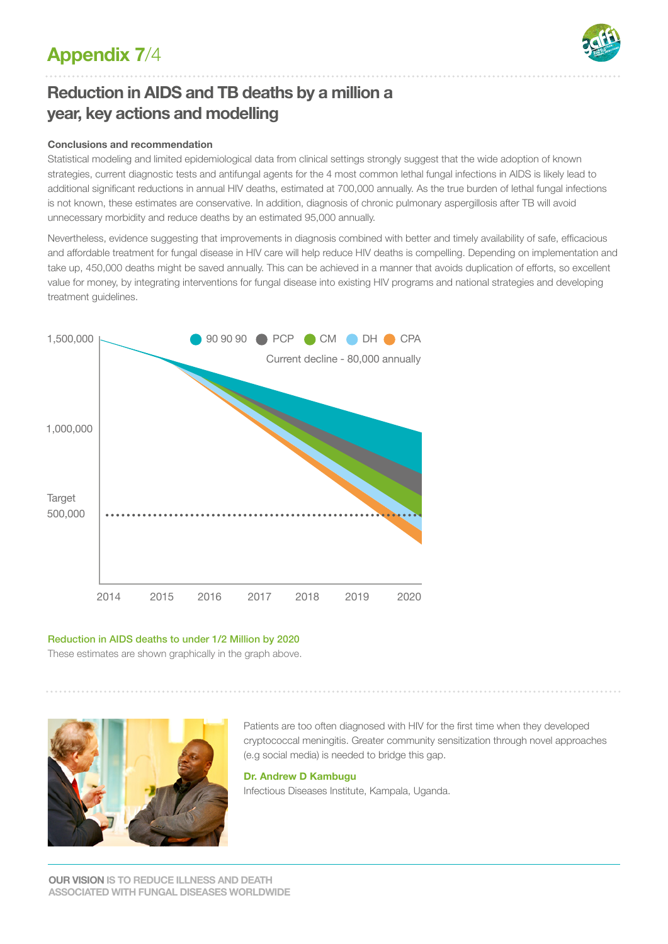# **Appendix 7**/4



# **Reduction in AIDS and TB deaths by a million a year, key actions and modelling**

### **Conclusions and recommendation**

Statistical modeling and limited epidemiological data from clinical settings strongly suggest that the wide adoption of known strategies, current diagnostic tests and antifungal agents for the 4 most common lethal fungal infections in AIDS is likely lead to additional significant reductions in annual HIV deaths, estimated at 700,000 annually. As the true burden of lethal fungal infections is not known, these estimates are conservative. In addition, diagnosis of chronic pulmonary aspergillosis after TB will avoid unnecessary morbidity and reduce deaths by an estimated 95,000 annually.

Nevertheless, evidence suggesting that improvements in diagnosis combined with better and timely availability of safe, efficacious and affordable treatment for fungal disease in HIV care will help reduce HIV deaths is compelling. Depending on implementation and take up, 450,000 deaths might be saved annually. This can be achieved in a manner that avoids duplication of efforts, so excellent value for money, by integrating interventions for fungal disease into existing HIV programs and national strategies and developing treatment quidelines.



### Reduction in AIDS deaths to under 1/2 Million by 2020

These estimates are shown graphically in the graph above.



Patients are too often diagnosed with HIV for the first time when they developed cryptococcal meningitis. Greater community sensitization through novel approaches (e.g social media) is needed to bridge this gap.

#### **Dr. Andrew D Kambugu**

Infectious Diseases Institute, Kampala, Uganda.